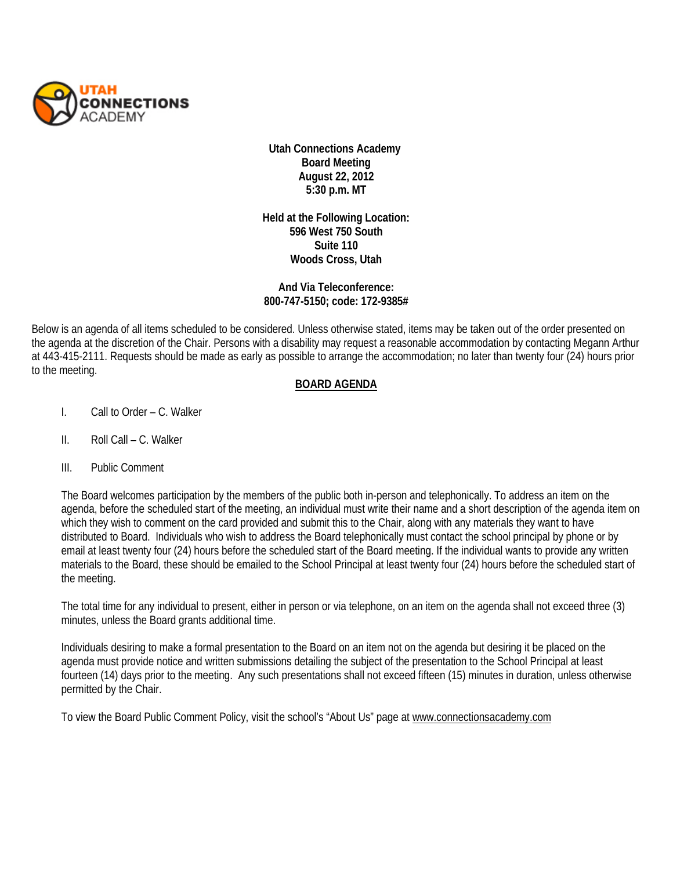

**Utah Connections Academy Board Meeting August 22, 2012 5:30 p.m. MT** 

**Held at the Following Location: 596 West 750 South Suite 110 Woods Cross, Utah**

## **And Via Teleconference: 800-747-5150; code: 172-9385#**

Below is an agenda of all items scheduled to be considered. Unless otherwise stated, items may be taken out of the order presented on the agenda at the discretion of the Chair. Persons with a disability may request a reasonable accommodation by contacting Megann Arthur at 443-415-2111. Requests should be made as early as possible to arrange the accommodation; no later than twenty four (24) hours prior to the meeting.

## **BOARD AGENDA**

- I. Call to Order C. Walker
- II. Roll Call C. Walker
- III. Public Comment

The Board welcomes participation by the members of the public both in-person and telephonically. To address an item on the agenda, before the scheduled start of the meeting, an individual must write their name and a short description of the agenda item on which they wish to comment on the card provided and submit this to the Chair, along with any materials they want to have distributed to Board. Individuals who wish to address the Board telephonically must contact the school principal by phone or by email at least twenty four (24) hours before the scheduled start of the Board meeting. If the individual wants to provide any written materials to the Board, these should be emailed to the School Principal at least twenty four (24) hours before the scheduled start of the meeting.

The total time for any individual to present, either in person or via telephone, on an item on the agenda shall not exceed three (3) minutes, unless the Board grants additional time.

Individuals desiring to make a formal presentation to the Board on an item not on the agenda but desiring it be placed on the agenda must provide notice and written submissions detailing the subject of the presentation to the School Principal at least fourteen (14) days prior to the meeting. Any such presentations shall not exceed fifteen (15) minutes in duration, unless otherwise permitted by the Chair.

To view the Board Public Comment Policy, visit the school's "About Us" page at [www.connectionsacademy.com](http://www.connectionsacademy.com/)